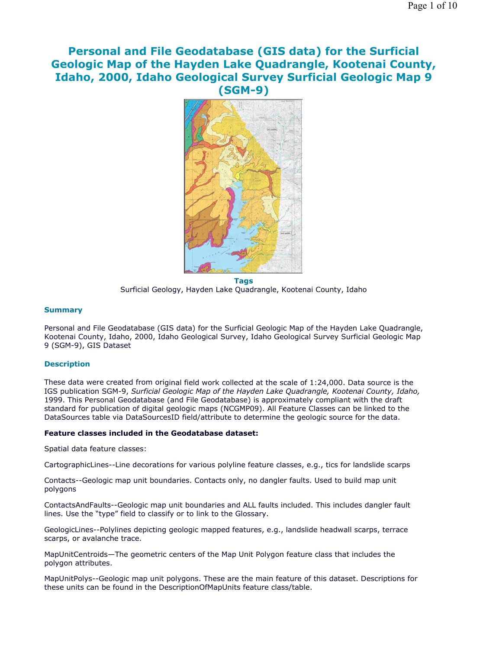# **Personal and File Geodatabase (GIS data) for the Surficial Geologic Map of the Hayden Lake Quadrangle, Kootenai County, Idaho, 2000, Idaho Geological Survey Surficial Geologic Map 9 (SGM-9)**



**Tags** Surficial Geology, Hayden Lake Quadrangle, Kootenai County, Idaho

### **Summary**

Personal and File Geodatabase (GIS data) for the Surficial Geologic Map of the Hayden Lake Quadrangle, Kootenai County, Idaho, 2000, Idaho Geological Survey, Idaho Geological Survey Surficial Geologic Map 9 (SGM-9), GIS Dataset

#### **Description**

These data were created from original field work collected at the scale of 1:24,000. Data source is the IGS publication SGM-9, *Surficial Geologic Map of the Hayden Lake Quadrangle, Kootenai County, Idaho,*  1999. This Personal Geodatabase (and File Geodatabase) is approximately compliant with the draft standard for publication of digital geologic maps (NCGMP09). All Feature Classes can be linked to the DataSources table via DataSourcesID field/attribute to determine the geologic source for the data.

#### **Feature classes included in the Geodatabase dataset:**

Spatial data feature classes:

CartographicLines--Line decorations for various polyline feature classes, e.g., tics for landslide scarps

Contacts--Geologic map unit boundaries. Contacts only, no dangler faults. Used to build map unit polygons

ContactsAndFaults--Geologic map unit boundaries and ALL faults included. This includes dangler fault lines. Use the "type" field to classify or to link to the Glossary.

GeologicLines--Polylines depicting geologic mapped features, e.g., landslide headwall scarps, terrace scarps, or avalanche trace.

MapUnitCentroids—The geometric centers of the Map Unit Polygon feature class that includes the polygon attributes.

MapUnitPolys--Geologic map unit polygons. These are the main feature of this dataset. Descriptions for these units can be found in the DescriptionOfMapUnits feature class/table.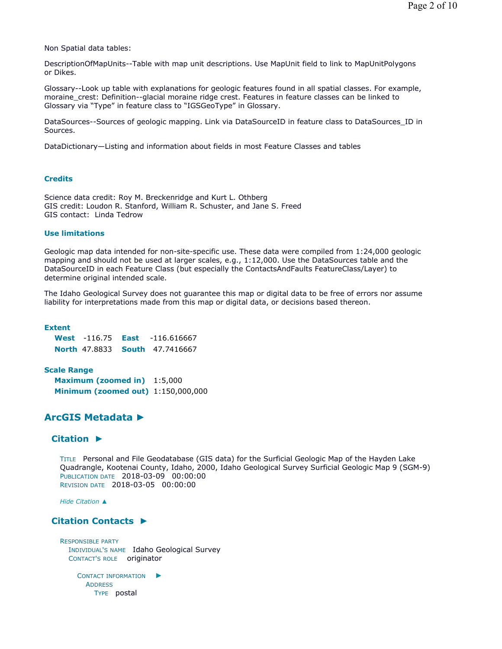Non Spatial data tables:

DescriptionOfMapUnits--Table with map unit descriptions. Use MapUnit field to link to MapUnitPolygons or Dikes.

Glossary--Look up table with explanations for geologic features found in all spatial classes. For example, moraine\_crest: Definition--glacial moraine ridge crest. Features in feature classes can be linked to Glossary via "Type" in feature class to "IGSGeoType" in Glossary.

DataSources--Sources of geologic mapping. Link via DataSourceID in feature class to DataSources\_ID in Sources.

DataDictionary—Listing and information about fields in most Feature Classes and tables

#### **Credits**

Science data credit: Roy M. Breckenridge and Kurt L. Othberg GIS credit: Loudon R. Stanford, William R. Schuster, and Jane S. Freed GIS contact: Linda Tedrow

#### **Use limitations**

Geologic map data intended for non-site-specific use. These data were compiled from 1:24,000 geologic mapping and should not be used at larger scales, e.g., 1:12,000. Use the DataSources table and the DataSourceID in each Feature Class (but especially the ContactsAndFaults FeatureClass/Layer) to determine original intended scale.

The Idaho Geological Survey does not guarantee this map or digital data to be free of errors nor assume liability for interpretations made from this map or digital data, or decisions based thereon.

#### **Extent**

**West** -116.75 **East** -116.616667 **North** 47.8833 **South** 47.7416667

#### **Scale Range**

**Maximum (zoomed in)** 1:5,000 **Minimum (zoomed out)** 1:150,000,000

# **ArcGIS Metadata ►**

### **Citation ►**

TITLE Personal and File Geodatabase (GIS data) for the Surficial Geologic Map of the Hayden Lake Quadrangle, Kootenai County, Idaho, 2000, Idaho Geological Survey Surficial Geologic Map 9 (SGM-9) PUBLICATION DATE 2018-03-09 00:00:00 REVISION DATE 2018-03-05 00:00:00

*Hide Citation ▲*

### **Citation Contacts ►**

RESPONSIBLE PARTY INDIVIDUAL'S NAME Idaho Geological Survey CONTACT'S ROLE originator

CONTACT INFORMATION ► **ADDRESS** TYPE postal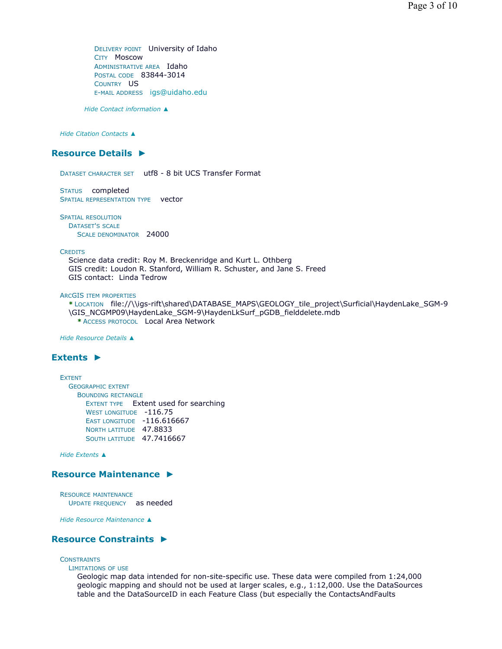DELIVERY POINT University of Idaho CITY Moscow ADMINISTRATIVE AREA Idaho POSTAL CODE 83844-3014 COUNTRY US E-MAIL ADDRESS igs@uidaho.edu

*Hide Contact information ▲*

*Hide Citation Contacts ▲*

### **Resource Details ►**

DATASET CHARACTER SET utf8 - 8 bit UCS Transfer Format

STATUS completed SPATIAL REPRESENTATION TYPE **vector** 

SPATIAL RESOLUTION DATASET'S SCALE SCALE DENOMINATOR 24000

**CREDITS** 

Science data credit: Roy M. Breckenridge and Kurt L. Othberg GIS credit: Loudon R. Stanford, William R. Schuster, and Jane S. Freed GIS contact: Linda Tedrow

ARCGIS ITEM PROPERTIES

**\*** LOCATION file://\\igs-rift\shared\DATABASE\_MAPS\GEOLOGY\_tile\_project\Surficial\HaydenLake\_SGM-9 \GIS\_NCGMP09\HaydenLake\_SGM-9\HaydenLkSurf\_pGDB\_fielddelete.mdb **\*** ACCESS PROTOCOL Local Area Network

*Hide Resource Details ▲*

### **Extents ►**

EXTENT GEOGRAPHIC EXTENT BOUNDING RECTANGLE EXTENT TYPE Extent used for searching WEST LONGITUDE -116.75 EAST LONGITUDE -116.616667 NORTH LATITUDE 47.8833 SOUTH LATITUDE 47.7416667

*Hide Extents ▲*

### **Resource Maintenance ►**

RESOURCE MAINTENANCE UPDATE FREQUENCY as needed

*Hide Resource Maintenance ▲*

### **Resource Constraints ►**

### **CONSTRAINTS**

LIMITATIONS OF USE

Geologic map data intended for non-site-specific use. These data were compiled from 1:24,000 geologic mapping and should not be used at larger scales, e.g., 1:12,000. Use the DataSources table and the DataSourceID in each Feature Class (but especially the ContactsAndFaults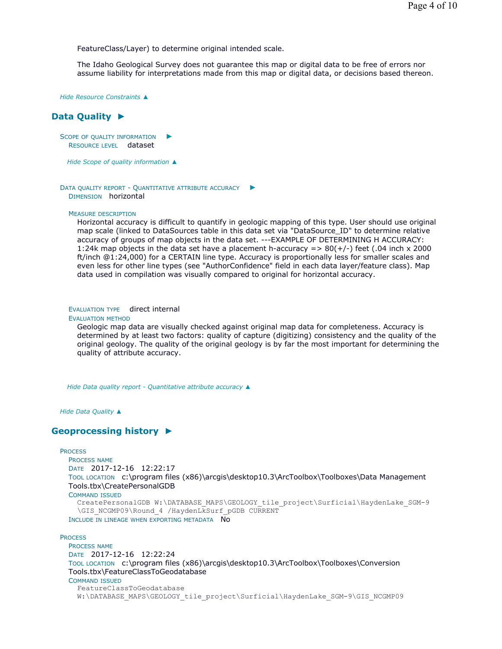FeatureClass/Layer) to determine original intended scale.

The Idaho Geological Survey does not guarantee this map or digital data to be free of errors nor assume liability for interpretations made from this map or digital data, or decisions based thereon.

*Hide Resource Constraints ▲*

# **Data Quality ►**

SCOPE OF QUALITY INFORMATION RESOURCE LEVEL dataset ►

*Hide Scope of quality information ▲*

DATA QUALITY REPORT - QUANTITATIVE ATTRIBUTE ACCURACY ► DIMENSION horizontal

#### MEASURE DESCRIPTION

Horizontal accuracy is difficult to quantify in geologic mapping of this type. User should use original map scale (linked to DataSources table in this data set via "DataSource\_ID" to determine relative accuracy of groups of map objects in the data set. ---EXAMPLE OF DETERMINING H ACCURACY: 1:24k map objects in the data set have a placement h-accuracy =  $> 80(+/-)$  feet (.04 inch x 2000) ft/inch @1:24,000) for a CERTAIN line type. Accuracy is proportionally less for smaller scales and even less for other line types (see "AuthorConfidence" field in each data layer/feature class). Map data used in compilation was visually compared to original for horizontal accuracy.

EVALUATION TYPE direct internal

#### EVALUATION METHOD

Geologic map data are visually checked against original map data for completeness. Accuracy is determined by at least two factors: quality of capture (digitizing) consistency and the quality of the original geology. The quality of the original geology is by far the most important for determining the quality of attribute accuracy.

*Hide Data quality report - Quantitative attribute accuracy ▲*

*Hide Data Quality ▲*

# **Geoprocessing history ►**

### **PROCESS**

PROCESS NAME DATE 2017-12-16 12:22:17 TOOL LOCATION c:\program files (x86)\arcgis\desktop10.3\ArcToolbox\Toolboxes\Data Management Tools.tbx\CreatePersonalGDB COMMAND ISSUED CreatePersonalGDB W:\DATABASE\_MAPS\GEOLOGY\_tile\_project\Surficial\HaydenLake\_SGM-9 \GIS\_NCGMP09\Round\_4 /HaydenLkSurf\_pGDB CURRENT INCLUDE IN LINEAGE WHEN EXPORTING METADATA NO

### **PROCESS**

PROCESS NAME DATE 2017-12-16 12:22:24 TOOL LOCATION c:\program files (x86)\arcgis\desktop10.3\ArcToolbox\Toolboxes\Conversion Tools.tbx\FeatureClassToGeodatabase COMMAND ISSUED FeatureClassToGeodatabase W:\DATABASE\_MAPS\GEOLOGY\_tile\_project\Surficial\HaydenLake\_SGM-9\GIS\_NCGMP09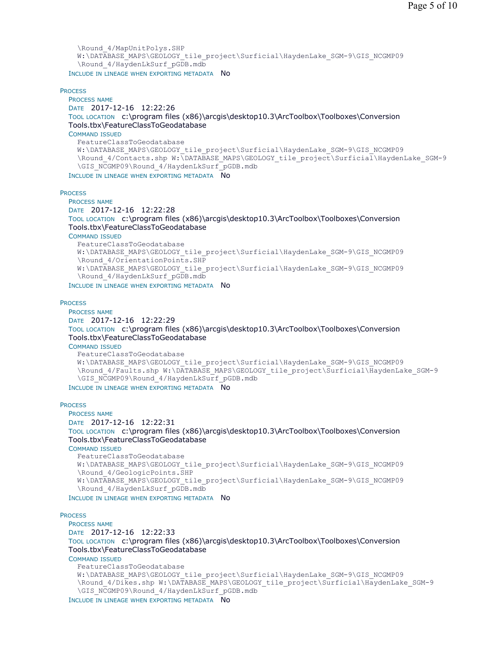```
\Round_4/MapUnitPolys.SHP 
  W:\DATABASE_MAPS\GEOLOGY_tile_project\Surficial\HaydenLake_SGM-9\GIS_NCGMP09
  \Round_4/HaydenLkSurf_pGDB.mdb
INCLUDE IN LINEAGE WHEN EXPORTING METADATA NO
```
**PROCESS** 

PROCESS NAME DATE 2017-12-16 12:22:26 TOOL LOCATION c:\program files (x86)\arcgis\desktop10.3\ArcToolbox\Toolboxes\Conversion Tools.tbx\FeatureClassToGeodatabase COMMAND ISSUED FeatureClassToGeodatabase W:\DATABASE\_MAPS\GEOLOGY\_tile\_project\Surficial\HaydenLake\_SGM-9\GIS\_NCGMP09 \Round\_4/Contacts.shp W:\DATABASE\_MAPS\GEOLOGY\_tile\_project\Surficial\HaydenLake\_SGM-9 \GIS\_NCGMP09\Round\_4/HaydenLkSurf\_pGDB.mdb INCLUDE IN LINEAGE WHEN EXPORTING METADATA NO

**PROCESS** 

PROCESS NAME DATE 2017-12-16 12:22:28 TOOL LOCATION c:\program files (x86)\arcgis\desktop10.3\ArcToolbox\Toolboxes\Conversion Tools.tbx\FeatureClassToGeodatabase COMMAND ISSUED FeatureClassToGeodatabase W:\DATABASE\_MAPS\GEOLOGY\_tile\_project\Surficial\HaydenLake\_SGM-9\GIS\_NCGMP09 \Round\_4/OrientationPoints.SHP W:\DATABASE\_MAPS\GEOLOGY\_tile\_project\Surficial\HaydenLake\_SGM-9\GIS\_NCGMP09 \Round\_4/HaydenLkSurf\_pGDB.mdb

INCLUDE IN LINEAGE WHEN EXPORTING METADATA NO

#### **PROCESS**

PROCESS NAME DATE 2017-12-16 12:22:29 TOOL LOCATION c:\program files (x86)\arcgis\desktop10.3\ArcToolbox\Toolboxes\Conversion Tools.tbx\FeatureClassToGeodatabase COMMAND ISSUED FeatureClassToGeodatabase W:\DATABASE\_MAPS\GEOLOGY\_tile\_project\Surficial\HaydenLake\_SGM-9\GIS\_NCGMP09 \Round\_4/Faults.shp W:\DATABASE\_MAPS\GEOLOGY\_tile\_project\Surficial\HaydenLake\_SGM-9 \GIS\_NCGMP09\Round\_4/HaydenLkSurf\_pGDB.mdb

INCLUDE IN LINEAGE WHEN EXPORTING METADATA NO

#### **PROCESS**

PROCESS NAME DATE 2017-12-16 12:22:31 TOOL LOCATION c:\program files (x86)\arcgis\desktop10.3\ArcToolbox\Toolboxes\Conversion Tools.tbx\FeatureClassToGeodatabase COMMAND ISSUED FeatureClassToGeodatabase W:\DATABASE\_MAPS\GEOLOGY\_tile\_project\Surficial\HaydenLake\_SGM-9\GIS\_NCGMP09 \Round\_4/GeologicPoints.SHP W:\DATABASE\_MAPS\GEOLOGY\_tile\_project\Surficial\HaydenLake\_SGM-9\GIS\_NCGMP09 \Round\_4/HaydenLkSurf\_pGDB.mdb INCLUDE IN LINEAGE WHEN EXPORTING METADATA NO

#### **PROCESS**

PROCESS NAME

DATE 2017-12-16 12:22:33

TOOL LOCATION c:\program files (x86)\arcgis\desktop10.3\ArcToolbox\Toolboxes\Conversion Tools.tbx\FeatureClassToGeodatabase

COMMAND ISSUED

FeatureClassToGeodatabase

```
W:\DATABASE_MAPS\GEOLOGY_tile_project\Surficial\HaydenLake_SGM-9\GIS_NCGMP09
\Round 4/Dikes.shp W:\DATABASE MAPS\GEOLOGY_tile_project\Surficial\HaydenLake_SGM-9
\GIS_NCGMP09\Round_4/HaydenLkSurf_pGDB.mdb
```
INCLUDE IN LINEAGE WHEN EXPORTING METADATA NO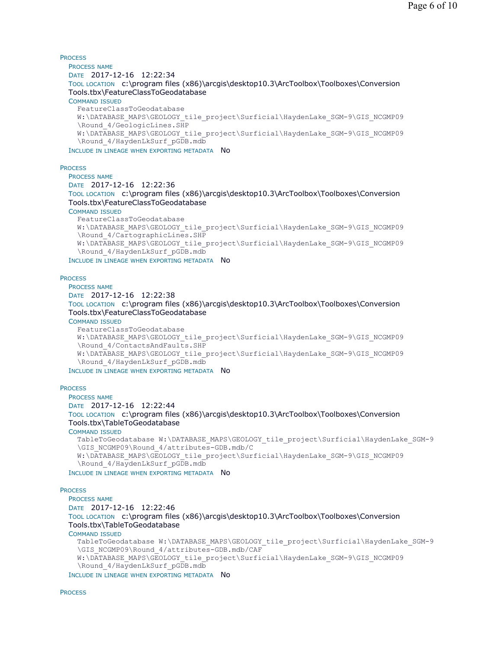**PROCESS** 

PROCESS NAME DATE 2017-12-16 12:22:34 TOOL LOCATION c:\program files (x86)\arcgis\desktop10.3\ArcToolbox\Toolboxes\Conversion Tools.tbx\FeatureClassToGeodatabase COMMAND ISSUED FeatureClassToGeodatabase W:\DATABASE\_MAPS\GEOLOGY\_tile\_project\Surficial\HaydenLake\_SGM-9\GIS\_NCGMP09 \Round 4/GeologicLines.SHP W:\DATABASE\_MAPS\GEOLOGY\_tile\_project\Surficial\HaydenLake\_SGM-9\GIS\_NCGMP09 \Round\_4/HaydenLkSurf\_pGDB.mdb

INCLUDE IN LINEAGE WHEN EXPORTING METADATA No

#### **PROCESS**

PROCESS NAME DATE 2017-12-16 12:22:36 TOOL LOCATION c:\program files (x86)\arcgis\desktop10.3\ArcToolbox\Toolboxes\Conversion Tools.tbx\FeatureClassToGeodatabase COMMAND ISSUED FeatureClassToGeodatabase W:\DATABASE\_MAPS\GEOLOGY\_tile\_project\Surficial\HaydenLake\_SGM-9\GIS\_NCGMP09 \Round\_4/CartographicLines.SHP W:\DATABASE\_MAPS\GEOLOGY\_tile\_project\Surficial\HaydenLake\_SGM-9\GIS\_NCGMP09 \Round\_4/HaydenLkSurf\_pGDB.mdb

INCLUDE IN LINEAGE WHEN EXPORTING METADATA NO

#### **PROCESS**

PROCESS NAME DATE 2017-12-16 12:22:38 TOOL LOCATION c:\program files (x86)\arcgis\desktop10.3\ArcToolbox\Toolboxes\Conversion Tools.tbx\FeatureClassToGeodatabase COMMAND ISSUED FeatureClassToGeodatabase W:\DATABASE\_MAPS\GEOLOGY\_tile\_project\Surficial\HaydenLake\_SGM-9\GIS\_NCGMP09 \Round\_4/ContactsAndFaults.SHP W:\DATABASE\_MAPS\GEOLOGY\_tile\_project\Surficial\HaydenLake\_SGM-9\GIS\_NCGMP09 \Round\_4/HaydenLkSurf\_pGDB.mdb INCLUDE IN LINEAGE WHEN EXPORTING METADATA NO

### **PROCESS**

PROCESS NAME DATE 2017-12-16 12:22:44 TOOL LOCATION c:\program files (x86)\arcgis\desktop10.3\ArcToolbox\Toolboxes\Conversion Tools.tbx\TableToGeodatabase COMMAND ISSUED TableToGeodatabase W:\DATABASE\_MAPS\GEOLOGY\_tile\_project\Surficial\HaydenLake\_SGM-9 \GIS\_NCGMP09\Round\_4/attributes-GDB.mdb/C W:\DATABASE\_MAPS\GEOLOGY\_tile\_project\Surficial\HaydenLake\_SGM-9\GIS\_NCGMP09 \Round\_4/HaydenLkSurf\_pGDB.mdb

INCLUDE IN LINEAGE WHEN EXPORTING METADATA NO

#### **PROCESS**

PROCESS NAME DATE 2017-12-16 12:22:46 TOOL LOCATION c:\program files (x86)\arcgis\desktop10.3\ArcToolbox\Toolboxes\Conversion Tools.tbx\TableToGeodatabase COMMAND ISSUED TableToGeodatabase W:\DATABASE\_MAPS\GEOLOGY\_tile\_project\Surficial\HaydenLake\_SGM-9 \GIS\_NCGMP09\Round\_4/attributes-GDB.mdb/CAF W:\DATABASE\_MAPS\GEOLOGY\_tile\_project\Surficial\HaydenLake\_SGM-9\GIS\_NCGMP09 \Round\_4/HaydenLkSurf\_pGDB.mdb INCLUDE IN LINEAGE WHEN EXPORTING METADATA NO

**PROCESS**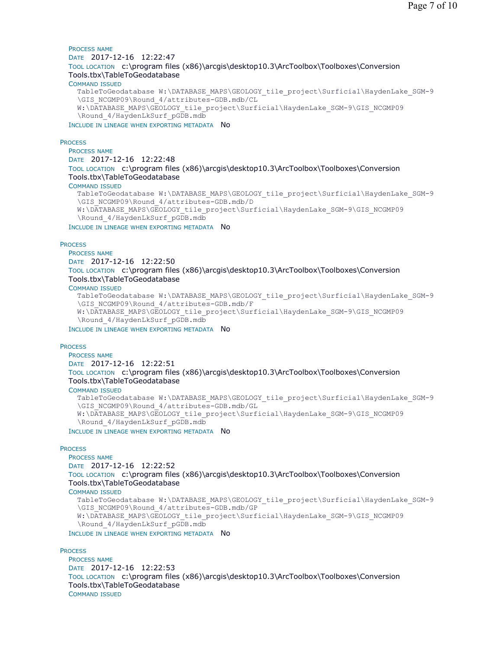#### PROCESS NAME DATE 2017-12-16 12:22:47 TOOL LOCATION c:\program files (x86)\arcgis\desktop10.3\ArcToolbox\Toolboxes\Conversion Tools.tbx\TableToGeodatabase COMMAND ISSUED TableToGeodatabase W:\DATABASE\_MAPS\GEOLOGY\_tile\_project\Surficial\HaydenLake\_SGM-9

\GIS\_NCGMP09\Round\_4/attributes-GDB.mdb/CL W:\DATABASE\_MAPS\GEOLOGY\_tile\_project\Surficial\HaydenLake\_SGM-9\GIS\_NCGMP09 \Round\_4/HaydenLkSurf\_pGDB.mdb

INCLUDE IN LINEAGE WHEN EXPORTING METADATA NO

**PROCESS** 

PROCESS NAME DATE 2017-12-16 12:22:48 TOOL LOCATION c:\program files (x86)\arcgis\desktop10.3\ArcToolbox\Toolboxes\Conversion Tools.tbx\TableToGeodatabase COMMAND ISSUED TableToGeodatabase W:\DATABASE\_MAPS\GEOLOGY\_tile\_project\Surficial\HaydenLake\_SGM-9 \GIS\_NCGMP09\Round\_4/attributes-GDB.mdb/D W:\DATABASE\_MAPS\GEOLOGY\_tile\_project\Surficial\HaydenLake\_SGM-9\GIS\_NCGMP09

\Round\_4/HaydenLkSurf\_pGDB.mdb

INCLUDE IN LINEAGE WHEN EXPORTING METADATA NO

#### **PROCESS**

PROCESS NAME DATE 2017-12-16 12:22:50 TOOL LOCATION c:\program files (x86)\arcgis\desktop10.3\ArcToolbox\Toolboxes\Conversion Tools.tbx\TableToGeodatabase

### COMMAND ISSUED

TableToGeodatabase W:\DATABASE\_MAPS\GEOLOGY\_tile\_project\Surficial\HaydenLake\_SGM-9 \GIS\_NCGMP09\Round\_4/attributes-GDB.mdb/F W:\DATABASE\_MAPS\GEOLOGY\_tile\_project\Surficial\HaydenLake\_SGM-9\GIS\_NCGMP09 \Round\_4/HaydenLkSurf\_pGDB.mdb

INCLUDE IN LINEAGE WHEN EXPORTING METADATA NO

### **PROCESS**

PROCESS NAME DATE 2017-12-16 12:22:51 TOOL LOCATION c:\program files (x86)\arcgis\desktop10.3\ArcToolbox\Toolboxes\Conversion Tools.tbx\TableToGeodatabase COMMAND ISSUED TableToGeodatabase W:\DATABASE\_MAPS\GEOLOGY\_tile\_project\Surficial\HaydenLake\_SGM-9

\GIS\_NCGMP09\Round\_4/attributes-GDB.mdb/GL W:\DATABASE\_MAPS\GEOLOGY\_tile\_project\Surficial\HaydenLake\_SGM-9\GIS\_NCGMP09 \Round\_4/HaydenLkSurf\_pGDB.mdb

INCLUDE IN LINEAGE WHEN EXPORTING METADATA No

### **PROCESS**

PROCESS NAME DATE 2017-12-16 12:22:52 TOOL LOCATION c:\program files (x86)\arcgis\desktop10.3\ArcToolbox\Toolboxes\Conversion Tools.tbx\TableToGeodatabase COMMAND ISSUED TableToGeodatabase W:\DATABASE\_MAPS\GEOLOGY\_tile\_project\Surficial\HaydenLake\_SGM-9 \GIS\_NCGMP09\Round\_4/attributes-GDB.mdb/GP

W:\DATABASE\_MAPS\GEOLOGY\_tile\_project\Surficial\HaydenLake\_SGM-9\GIS\_NCGMP09 \Round\_4/HaydenLkSurf\_pGDB.mdb

INCLUDE IN LINEAGE WHEN EXPORTING METADATA NO

#### **PROCESS**

PROCESS NAME DATE 2017-12-16 12:22:53 TOOL LOCATION c:\program files (x86)\arcgis\desktop10.3\ArcToolbox\Toolboxes\Conversion Tools.tbx\TableToGeodatabase COMMAND ISSUED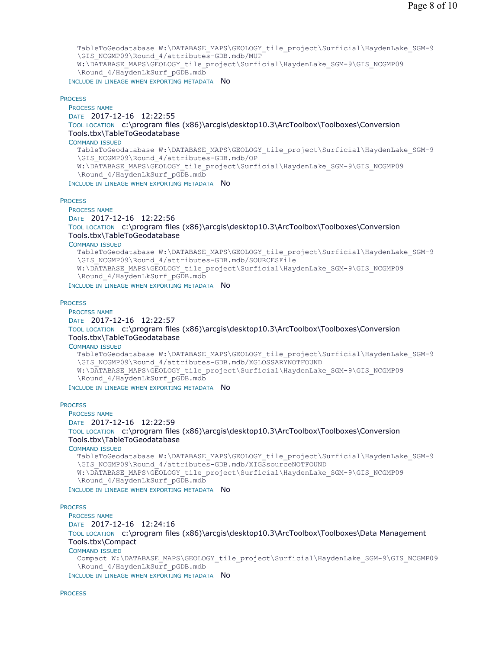TableToGeodatabase W:\DATABASE\_MAPS\GEOLOGY\_tile\_project\Surficial\HaydenLake\_SGM-9 \GIS\_NCGMP09\Round\_4/attributes-GDB.mdb/MUP W:\DATABASE\_MAPS\GEOLOGY\_tile\_project\Surficial\HaydenLake\_SGM-9\GIS\_NCGMP09 \Round\_4/HaydenLkSurf\_pGDB.mdb

INCLUDE IN LINEAGE WHEN EXPORTING METADATA NO

#### **PROCESS**

PROCESS NAME DATE 2017-12-16 12:22:55 TOOL LOCATION c:\program files (x86)\arcgis\desktop10.3\ArcToolbox\Toolboxes\Conversion Tools.tbx\TableToGeodatabase COMMAND ISSUED TableToGeodatabase W:\DATABASE\_MAPS\GEOLOGY\_tile\_project\Surficial\HaydenLake\_SGM-9 \GIS\_NCGMP09\Round\_4/attributes-GDB.mdb/OP W:\DATABASE\_MAPS\GEOLOGY\_tile\_project\Surficial\HaydenLake\_SGM-9\GIS\_NCGMP09 \Round\_4/HaydenLkSurf\_pGDB.mdb INCLUDE IN LINEAGE WHEN EXPORTING METADATA NO

**PROCESS** 

PROCESS NAME DATE 2017-12-16 12:22:56 TOOL LOCATION c:\program files (x86)\arcgis\desktop10.3\ArcToolbox\Toolboxes\Conversion Tools.tbx\TableToGeodatabase COMMAND ISSUED TableToGeodatabase W:\DATABASE\_MAPS\GEOLOGY\_tile\_project\Surficial\HaydenLake\_SGM-9 \GIS\_NCGMP09\Round\_4/attributes-GDB.mdb/SOURCESFile W:\DATABASE\_MAPS\GEOLOGY\_tile\_project\Surficial\HaydenLake\_SGM-9\GIS\_NCGMP09 \Round\_4/HaydenLkSurf\_pGDB.mdb

INCLUDE IN LINEAGE WHEN EXPORTING METADATA NO

#### **PROCESS**

PROCESS NAME DATE 2017-12-16 12:22:57 TOOL LOCATION c:\program files (x86)\arcgis\desktop10.3\ArcToolbox\Toolboxes\Conversion Tools.tbx\TableToGeodatabase COMMAND ISSUED TableToGeodatabase W:\DATABASE\_MAPS\GEOLOGY\_tile\_project\Surficial\HaydenLake\_SGM-9 \GIS\_NCGMP09\Round\_4/attributes-GDB.mdb/XGLOSSARYNOTFOUND W:\DATABASE\_MAPS\GEOLOGY\_tile\_project\Surficial\HaydenLake\_SGM-9\GIS\_NCGMP09 \Round\_4/HaydenLkSurf\_pGDB.mdb

INCLUDE IN LINEAGE WHEN EXPORTING METADATA No

#### **PROCESS**

PROCESS NAME

DATE 2017-12-16 12:22:59

TOOL LOCATION c:\program files (x86)\arcgis\desktop10.3\ArcToolbox\Toolboxes\Conversion Tools.tbx\TableToGeodatabase

COMMAND ISSUED

TableToGeodatabase W:\DATABASE\_MAPS\GEOLOGY\_tile\_project\Surficial\HaydenLake\_SGM-9 \GIS\_NCGMP09\Round\_4/attributes-GDB.mdb/XIGSsourceNOTFOUND W:\DATABASE\_MAPS\GEOLOGY\_tile\_project\Surficial\HaydenLake\_SGM-9\GIS\_NCGMP09 \Round\_4/HaydenLkSurf\_pGDB.mdb INCLUDE IN LINEAGE WHEN EXPORTING METADATA NO

#### **PROCESS**

PROCESS NAME DATE 2017-12-16 12:24:16 TOOL LOCATION c:\program files (x86)\arcgis\desktop10.3\ArcToolbox\Toolboxes\Data Management Tools.tbx\Compact COMMAND ISSUED Compact W:\DATABASE\_MAPS\GEOLOGY\_tile\_project\Surficial\HaydenLake\_SGM-9\GIS\_NCGMP09 \Round\_4/HaydenLkSurf\_pGDB.mdb INCLUDE IN LINEAGE WHEN EXPORTING METADATA NO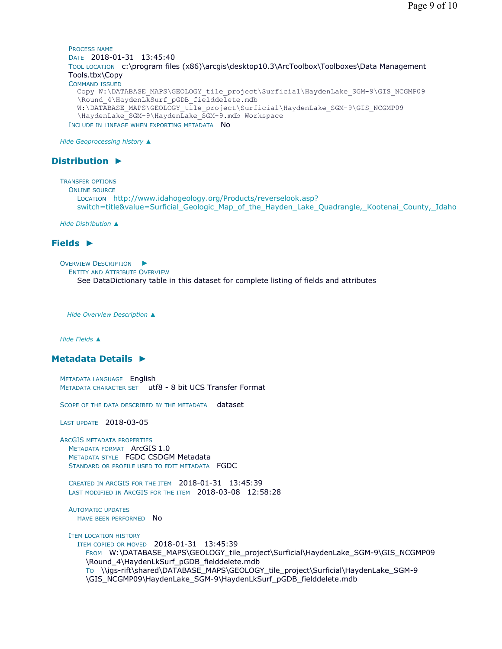PROCESS NAME DATE 2018-01-31 13:45:40 TOOL LOCATION c:\program files (x86)\arcgis\desktop10.3\ArcToolbox\Toolboxes\Data Management Tools.tbx\Copy COMMAND ISSUED Copy W:\DATABASE\_MAPS\GEOLOGY\_tile\_project\Surficial\HaydenLake\_SGM-9\GIS\_NCGMP09 \Round 4\HaydenLkSurf pGDB fielddelete.mdb W:\DATABASE\_MAPS\GEOLOGY\_tile\_project\Surficial\HaydenLake\_SGM-9\GIS\_NCGMP09 \HaydenLake\_SGM-9\HaydenLake\_SGM-9.mdb Workspace INCLUDE IN LINEAGE WHEN EXPORTING METADATA NO

*Hide Geoprocessing history ▲*

# **Distribution ►**

```
TRANSFER OPTIONS
  ONLINE SOURCE
    LOCATION http://www.idahogeology.org/Products/reverselook.asp?
    switch=title&value=Surficial_Geologic_Map_of_the_Hayden_Lake_Quadrangle,_Kootenai_County,_Idaho
```
*Hide Distribution ▲*

# **Fields ►**

OVERVIEW DESCRIPTION ► ENTITY AND ATTRIBUTE OVERVIEW See DataDictionary table in this dataset for complete listing of fields and attributes

*Hide Overview Description ▲*

*Hide Fields ▲*

# **Metadata Details ►**

METADATA LANGUAGE English METADATA CHARACTER SET utf8 - 8 bit UCS Transfer Format

SCOPE OF THE DATA DESCRIBED BY THE METADATA dataset

LAST UPDATE 2018-03-05

ARCGIS METADATA PROPERTIES METADATA FORMAT ArcGIS 1.0 METADATA STYLE FGDC CSDGM Metadata STANDARD OR PROFILE USED TO EDIT METADATA FGDC

CREATED IN ARCGIS FOR THE ITEM 2018-01-31 13:45:39 LAST MODIFIED IN ARCGIS FOR THE ITEM 2018-03-08 12:58:28

AUTOMATIC UPDATES HAVE BEEN PERFORMED No

ITEM LOCATION HISTORY ITEM COPIED OR MOVED 2018-01-31 13:45:39 FROM W:\DATABASE\_MAPS\GEOLOGY\_tile\_project\Surficial\HaydenLake\_SGM-9\GIS\_NCGMP09 \Round\_4\HaydenLkSurf\_pGDB\_fielddelete.mdb TO \\igs-rift\shared\DATABASE\_MAPS\GEOLOGY\_tile\_project\Surficial\HaydenLake\_SGM-9 \GIS\_NCGMP09\HaydenLake\_SGM-9\HaydenLkSurf\_pGDB\_fielddelete.mdb